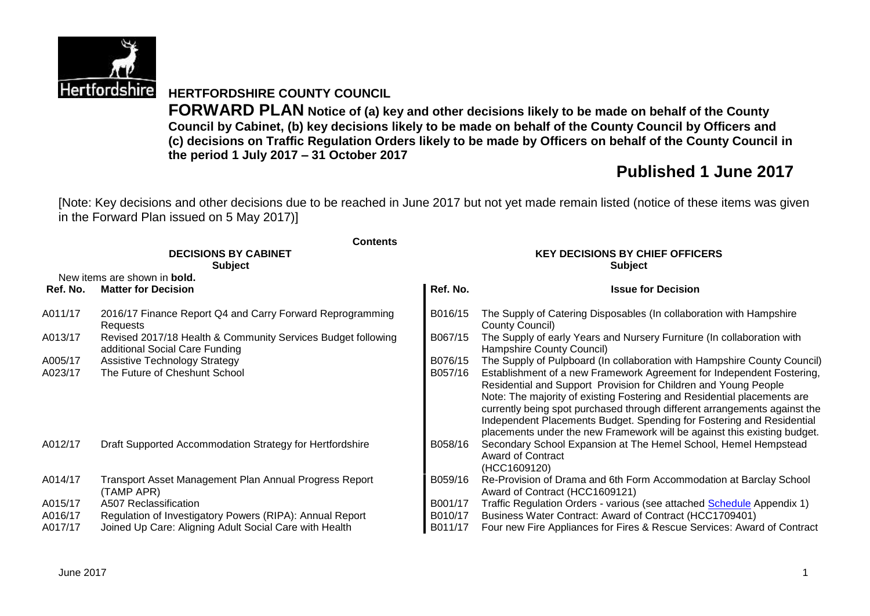

# **HERTFORDSHIRE COUNTY COUNCIL**

**FORWARD PLAN Notice of (a) key and other decisions likely to be made on behalf of the County Council by Cabinet, (b) key decisions likely to be made on behalf of the County Council by Officers and (c) decisions on Traffic Regulation Orders likely to be made by Officers on behalf of the County Council in the period 1 July 2017 – 31 October 2017**

# **Published 1 June 2017**

[Note: Key decisions and other decisions due to be reached in June 2017 but not yet made remain listed (notice of these items was given in the Forward Plan issued on 5 May 2017)]

|          | <b>Contents</b>                                                                                |          |                                                                                                                                                                                                                                                                                                                                                                                                                                                       |  |  |  |
|----------|------------------------------------------------------------------------------------------------|----------|-------------------------------------------------------------------------------------------------------------------------------------------------------------------------------------------------------------------------------------------------------------------------------------------------------------------------------------------------------------------------------------------------------------------------------------------------------|--|--|--|
|          | <b>DECISIONS BY CABINET</b>                                                                    |          | <b>KEY DECISIONS BY CHIEF OFFICERS</b>                                                                                                                                                                                                                                                                                                                                                                                                                |  |  |  |
|          | <b>Subject</b>                                                                                 |          | <b>Subject</b>                                                                                                                                                                                                                                                                                                                                                                                                                                        |  |  |  |
|          | New items are shown in <b>bold.</b>                                                            |          |                                                                                                                                                                                                                                                                                                                                                                                                                                                       |  |  |  |
| Ref. No. | <b>Matter for Decision</b>                                                                     | Ref. No. | <b>Issue for Decision</b>                                                                                                                                                                                                                                                                                                                                                                                                                             |  |  |  |
| A011/17  | 2016/17 Finance Report Q4 and Carry Forward Reprogramming<br>Requests                          | B016/15  | The Supply of Catering Disposables (In collaboration with Hampshire<br>County Council)                                                                                                                                                                                                                                                                                                                                                                |  |  |  |
| A013/17  | Revised 2017/18 Health & Community Services Budget following<br>additional Social Care Funding | B067/15  | The Supply of early Years and Nursery Furniture (In collaboration with<br>Hampshire County Council)                                                                                                                                                                                                                                                                                                                                                   |  |  |  |
| A005/17  | <b>Assistive Technology Strategy</b>                                                           | B076/15  | The Supply of Pulpboard (In collaboration with Hampshire County Council)                                                                                                                                                                                                                                                                                                                                                                              |  |  |  |
| A023/17  | The Future of Cheshunt School                                                                  | B057/16  | Establishment of a new Framework Agreement for Independent Fostering,<br>Residential and Support Provision for Children and Young People<br>Note: The majority of existing Fostering and Residential placements are<br>currently being spot purchased through different arrangements against the<br>Independent Placements Budget. Spending for Fostering and Residential<br>placements under the new Framework will be against this existing budget. |  |  |  |
| A012/17  | Draft Supported Accommodation Strategy for Hertfordshire                                       | B058/16  | Secondary School Expansion at The Hemel School, Hemel Hempstead<br><b>Award of Contract</b><br>(HCC1609120)                                                                                                                                                                                                                                                                                                                                           |  |  |  |
| A014/17  | Transport Asset Management Plan Annual Progress Report<br>(TAMP APR)                           | B059/16  | Re-Provision of Drama and 6th Form Accommodation at Barclay School<br>Award of Contract (HCC1609121)                                                                                                                                                                                                                                                                                                                                                  |  |  |  |
| A015/17  | A507 Reclassification                                                                          | B001/17  | Traffic Regulation Orders - various (see attached <b>Schedule</b> Appendix 1)                                                                                                                                                                                                                                                                                                                                                                         |  |  |  |
| A016/17  | Regulation of Investigatory Powers (RIPA): Annual Report                                       | B010/17  | Business Water Contract: Award of Contract (HCC1709401)                                                                                                                                                                                                                                                                                                                                                                                               |  |  |  |
| A017/17  | Joined Up Care: Aligning Adult Social Care with Health                                         | B011/17  | Four new Fire Appliances for Fires & Rescue Services: Award of Contract                                                                                                                                                                                                                                                                                                                                                                               |  |  |  |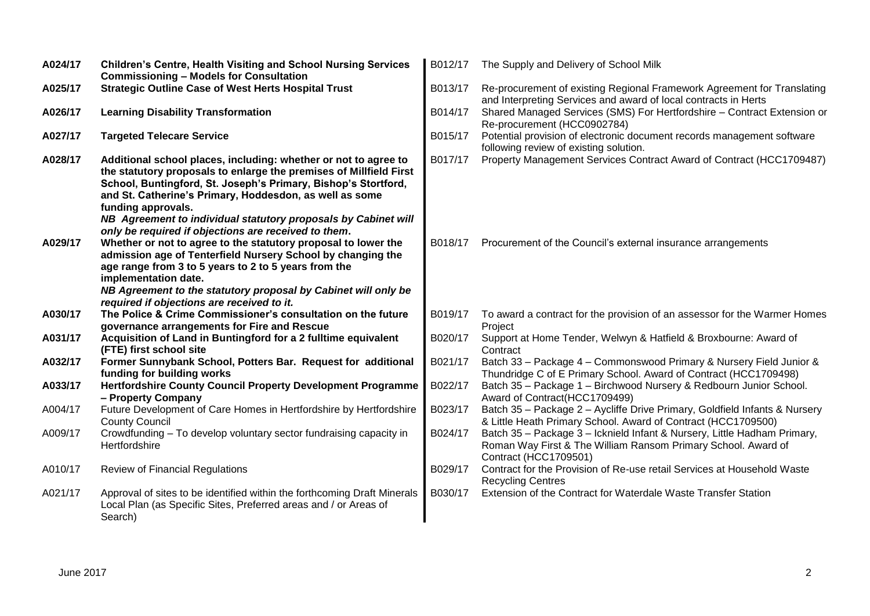| A024/17 | <b>Children's Centre, Health Visiting and School Nursing Services</b><br><b>Commissioning - Models for Consultation</b>                                                                                                                                                                                                                                                               | B012/17 | The Supply and Delivery of School Milk                                                                                                                             |
|---------|---------------------------------------------------------------------------------------------------------------------------------------------------------------------------------------------------------------------------------------------------------------------------------------------------------------------------------------------------------------------------------------|---------|--------------------------------------------------------------------------------------------------------------------------------------------------------------------|
| A025/17 | <b>Strategic Outline Case of West Herts Hospital Trust</b>                                                                                                                                                                                                                                                                                                                            | B013/17 | Re-procurement of existing Regional Framework Agreement for Translating<br>and Interpreting Services and award of local contracts in Herts                         |
| A026/17 | <b>Learning Disability Transformation</b>                                                                                                                                                                                                                                                                                                                                             | B014/17 | Shared Managed Services (SMS) For Hertfordshire - Contract Extension or<br>Re-procurement (HCC0902784)                                                             |
| A027/17 | <b>Targeted Telecare Service</b>                                                                                                                                                                                                                                                                                                                                                      | B015/17 | Potential provision of electronic document records management software<br>following review of existing solution.                                                   |
| A028/17 | Additional school places, including: whether or not to agree to<br>the statutory proposals to enlarge the premises of Millfield First<br>School, Buntingford, St. Joseph's Primary, Bishop's Stortford,<br>and St. Catherine's Primary, Hoddesdon, as well as some<br>funding approvals.<br>NB Agreement to individual statutory proposals by Cabinet will                            | B017/17 | Property Management Services Contract Award of Contract (HCC1709487)                                                                                               |
| A029/17 | only be required if objections are received to them.<br>Whether or not to agree to the statutory proposal to lower the<br>admission age of Tenterfield Nursery School by changing the<br>age range from 3 to 5 years to 2 to 5 years from the<br>implementation date.<br>NB Agreement to the statutory proposal by Cabinet will only be<br>required if objections are received to it. | B018/17 | Procurement of the Council's external insurance arrangements                                                                                                       |
| A030/17 | The Police & Crime Commissioner's consultation on the future<br>governance arrangements for Fire and Rescue                                                                                                                                                                                                                                                                           | B019/17 | To award a contract for the provision of an assessor for the Warmer Homes<br>Project                                                                               |
| A031/17 | Acquisition of Land in Buntingford for a 2 fulltime equivalent<br>(FTE) first school site                                                                                                                                                                                                                                                                                             | B020/17 | Support at Home Tender, Welwyn & Hatfield & Broxbourne: Award of<br>Contract                                                                                       |
| A032/17 | Former Sunnybank School, Potters Bar. Request for additional<br>funding for building works                                                                                                                                                                                                                                                                                            | B021/17 | Batch 33 - Package 4 - Commonswood Primary & Nursery Field Junior &<br>Thundridge C of E Primary School. Award of Contract (HCC1709498)                            |
| A033/17 | <b>Hertfordshire County Council Property Development Programme</b><br>- Property Company                                                                                                                                                                                                                                                                                              | B022/17 | Batch 35 - Package 1 - Birchwood Nursery & Redbourn Junior School.<br>Award of Contract(HCC1709499)                                                                |
| A004/17 | Future Development of Care Homes in Hertfordshire by Hertfordshire<br><b>County Council</b>                                                                                                                                                                                                                                                                                           | B023/17 | Batch 35 - Package 2 - Aycliffe Drive Primary, Goldfield Infants & Nursery<br>& Little Heath Primary School. Award of Contract (HCC1709500)                        |
| A009/17 | Crowdfunding - To develop voluntary sector fundraising capacity in<br>Hertfordshire                                                                                                                                                                                                                                                                                                   | B024/17 | Batch 35 - Package 3 - Icknield Infant & Nursery, Little Hadham Primary,<br>Roman Way First & The William Ransom Primary School. Award of<br>Contract (HCC1709501) |
| A010/17 | <b>Review of Financial Regulations</b>                                                                                                                                                                                                                                                                                                                                                | B029/17 | Contract for the Provision of Re-use retail Services at Household Waste<br><b>Recycling Centres</b>                                                                |
| A021/17 | Approval of sites to be identified within the forthcoming Draft Minerals<br>Local Plan (as Specific Sites, Preferred areas and / or Areas of<br>Search)                                                                                                                                                                                                                               | B030/17 | Extension of the Contract for Waterdale Waste Transfer Station                                                                                                     |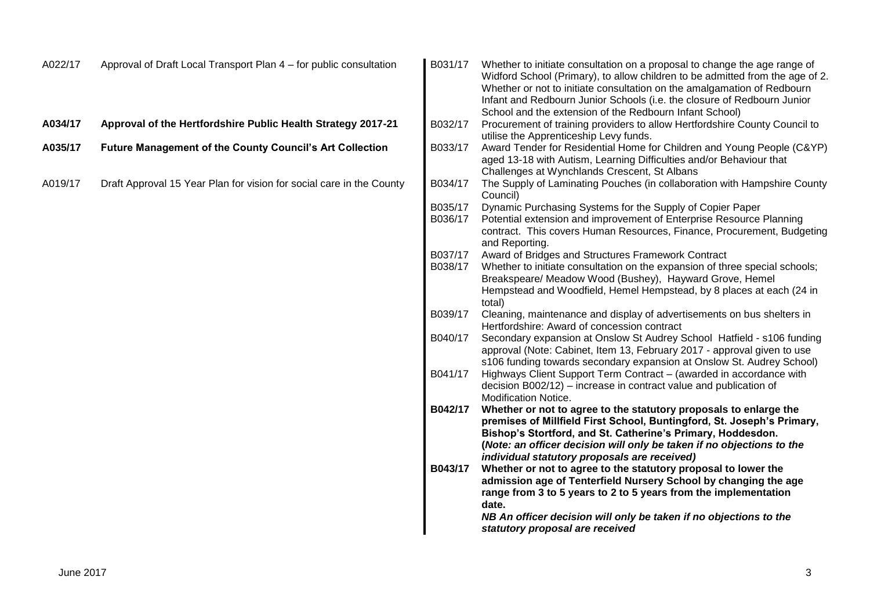| A022/17 | Approval of Draft Local Transport Plan 4 – for public consultation   | B031/17 | Whether to initiate consultation on a proposal to change the age range of<br>Widford School (Primary), to allow children to be admitted from the age of 2.<br>Whether or not to initiate consultation on the amalgamation of Redbourn<br>Infant and Redbourn Junior Schools (i.e. the closure of Redbourn Junior |
|---------|----------------------------------------------------------------------|---------|------------------------------------------------------------------------------------------------------------------------------------------------------------------------------------------------------------------------------------------------------------------------------------------------------------------|
|         |                                                                      |         | School and the extension of the Redbourn Infant School)                                                                                                                                                                                                                                                          |
| A034/17 | Approval of the Hertfordshire Public Health Strategy 2017-21         | B032/17 | Procurement of training providers to allow Hertfordshire County Council to                                                                                                                                                                                                                                       |
|         |                                                                      |         | utilise the Apprenticeship Levy funds.                                                                                                                                                                                                                                                                           |
| A035/17 | <b>Future Management of the County Council's Art Collection</b>      | B033/17 | Award Tender for Residential Home for Children and Young People (C&YP)                                                                                                                                                                                                                                           |
|         |                                                                      |         | aged 13-18 with Autism, Learning Difficulties and/or Behaviour that                                                                                                                                                                                                                                              |
|         |                                                                      |         | Challenges at Wynchlands Crescent, St Albans                                                                                                                                                                                                                                                                     |
| A019/17 | Draft Approval 15 Year Plan for vision for social care in the County | B034/17 | The Supply of Laminating Pouches (in collaboration with Hampshire County<br>Council)                                                                                                                                                                                                                             |
|         |                                                                      | B035/17 | Dynamic Purchasing Systems for the Supply of Copier Paper                                                                                                                                                                                                                                                        |
|         |                                                                      | B036/17 | Potential extension and improvement of Enterprise Resource Planning<br>contract. This covers Human Resources, Finance, Procurement, Budgeting                                                                                                                                                                    |
|         |                                                                      |         | and Reporting.                                                                                                                                                                                                                                                                                                   |
|         |                                                                      | B037/17 | Award of Bridges and Structures Framework Contract                                                                                                                                                                                                                                                               |
|         |                                                                      | B038/17 | Whether to initiate consultation on the expansion of three special schools;                                                                                                                                                                                                                                      |
|         |                                                                      |         | Breakspeare/ Meadow Wood (Bushey), Hayward Grove, Hemel                                                                                                                                                                                                                                                          |
|         |                                                                      |         | Hempstead and Woodfield, Hemel Hempstead, by 8 places at each (24 in<br>total)                                                                                                                                                                                                                                   |
|         |                                                                      | B039/17 | Cleaning, maintenance and display of advertisements on bus shelters in                                                                                                                                                                                                                                           |
|         |                                                                      |         | Hertfordshire: Award of concession contract                                                                                                                                                                                                                                                                      |
|         |                                                                      | B040/17 | Secondary expansion at Onslow St Audrey School Hatfield - s106 funding                                                                                                                                                                                                                                           |
|         |                                                                      |         | approval (Note: Cabinet, Item 13, February 2017 - approval given to use                                                                                                                                                                                                                                          |
|         |                                                                      |         | s106 funding towards secondary expansion at Onslow St. Audrey School)                                                                                                                                                                                                                                            |
|         |                                                                      | B041/17 | Highways Client Support Term Contract - (awarded in accordance with                                                                                                                                                                                                                                              |
|         |                                                                      |         | decision B002/12) – increase in contract value and publication of                                                                                                                                                                                                                                                |
|         |                                                                      |         | Modification Notice.                                                                                                                                                                                                                                                                                             |
|         |                                                                      | B042/17 | Whether or not to agree to the statutory proposals to enlarge the                                                                                                                                                                                                                                                |
|         |                                                                      |         | premises of Millfield First School, Buntingford, St. Joseph's Primary,                                                                                                                                                                                                                                           |
|         |                                                                      |         | Bishop's Stortford, and St. Catherine's Primary, Hoddesdon.                                                                                                                                                                                                                                                      |
|         |                                                                      |         | (Note: an officer decision will only be taken if no objections to the                                                                                                                                                                                                                                            |
|         |                                                                      |         | individual statutory proposals are received)                                                                                                                                                                                                                                                                     |
|         |                                                                      | B043/17 | Whether or not to agree to the statutory proposal to lower the                                                                                                                                                                                                                                                   |
|         |                                                                      |         | admission age of Tenterfield Nursery School by changing the age                                                                                                                                                                                                                                                  |
|         |                                                                      |         | range from 3 to 5 years to 2 to 5 years from the implementation                                                                                                                                                                                                                                                  |
|         |                                                                      |         | date.                                                                                                                                                                                                                                                                                                            |
|         |                                                                      |         | NB An officer decision will only be taken if no objections to the                                                                                                                                                                                                                                                |
|         |                                                                      |         | statutory proposal are received                                                                                                                                                                                                                                                                                  |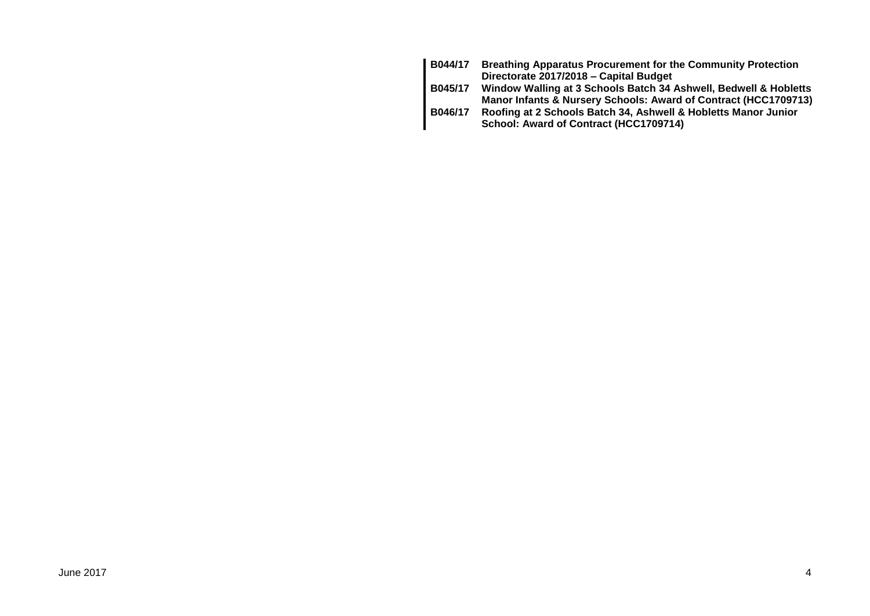| B044/17 | <b>Breathing Apparatus Procurement for the Community Protection</b> |
|---------|---------------------------------------------------------------------|
|         | Directorate 2017/2018 - Capital Budget                              |
| B045/17 | Window Walling at 3 Schools Batch 34 Ashwell, Bedwell & Hobletts    |
|         | Manor Infants & Nursery Schools: Award of Contract (HCC1709713)     |
| B046/17 | Roofing at 2 Schools Batch 34, Ashwell & Hobletts Manor Junior      |
|         | School: Award of Contract (HCC1709714)                              |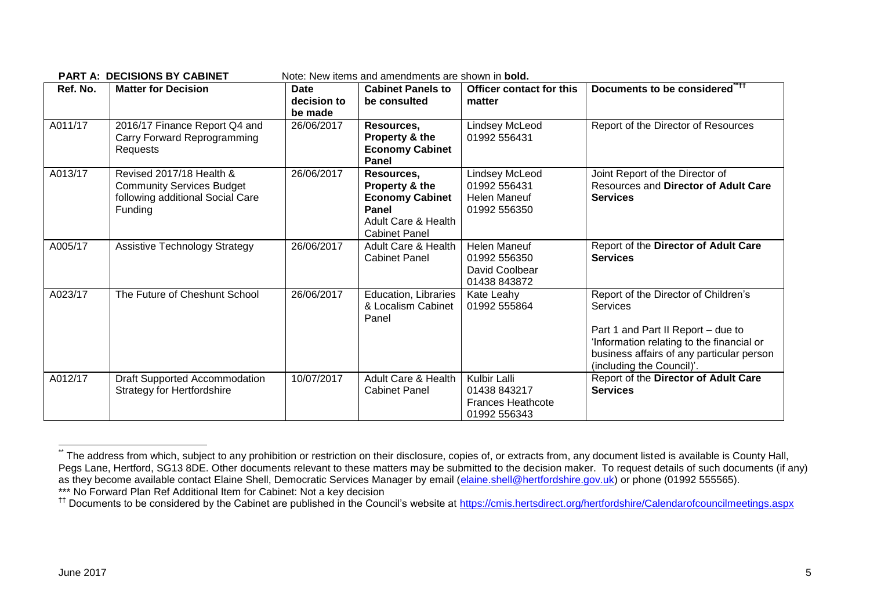| Ref. No. | <b>Matter for Decision</b>                                                                                  | Date<br>decision to<br>be made | <b>Cabinet Panels to</b><br>be consulted                                                                                  | Officer contact for this<br>matter                                           | Documents to be considered" <sup>11</sup>                                                                                                                                                                            |
|----------|-------------------------------------------------------------------------------------------------------------|--------------------------------|---------------------------------------------------------------------------------------------------------------------------|------------------------------------------------------------------------------|----------------------------------------------------------------------------------------------------------------------------------------------------------------------------------------------------------------------|
| A011/17  | 2016/17 Finance Report Q4 and<br>Carry Forward Reprogramming<br>Requests                                    | 26/06/2017                     | Resources,<br>Property & the<br><b>Economy Cabinet</b><br>Panel                                                           | Lindsey McLeod<br>01992 556431                                               | Report of the Director of Resources                                                                                                                                                                                  |
| A013/17  | Revised 2017/18 Health &<br><b>Community Services Budget</b><br>following additional Social Care<br>Funding | 26/06/2017                     | Resources,<br>Property & the<br><b>Economy Cabinet</b><br>Panel<br><b>Adult Care &amp; Health</b><br><b>Cabinet Panel</b> | <b>Lindsey McLeod</b><br>01992 556431<br><b>Helen Maneuf</b><br>01992 556350 | Joint Report of the Director of<br>Resources and Director of Adult Care<br><b>Services</b>                                                                                                                           |
| A005/17  | <b>Assistive Technology Strategy</b>                                                                        | 26/06/2017                     | Adult Care & Health<br><b>Cabinet Panel</b>                                                                               | Helen Maneuf<br>01992 556350<br>David Coolbear<br>01438 843872               | Report of the Director of Adult Care<br><b>Services</b>                                                                                                                                                              |
| A023/17  | The Future of Cheshunt School                                                                               | 26/06/2017                     | Education, Libraries<br>& Localism Cabinet<br>Panel                                                                       | Kate Leahy<br>01992 555864                                                   | Report of the Director of Children's<br><b>Services</b><br>Part 1 and Part II Report – due to<br>'Information relating to the financial or<br>business affairs of any particular person<br>(including the Council)'. |
| A012/17  | <b>Draft Supported Accommodation</b><br><b>Strategy for Hertfordshire</b>                                   | 10/07/2017                     | Adult Care & Health<br><b>Cabinet Panel</b>                                                                               | Kulbir Lalli<br>01438 843217<br><b>Frances Heathcote</b><br>01992 556343     | Report of the Director of Adult Care<br><b>Services</b>                                                                                                                                                              |

**PART A: DECISIONS BY CARINET** Note: New items and amendments are shown in **bold** 

1

The address from which, subject to any prohibition or restriction on their disclosure, copies of, or extracts from, any document listed is available is County Hall, Pegs Lane, Hertford, SG13 8DE. Other documents relevant to these matters may be submitted to the decision maker. To request details of such documents (if any) as they become available contact Elaine Shell, Democratic Services Manager by email [\(elaine.shell@hertfordshire.gov.uk\)](mailto:elaine.shell@hertfordshire.gov.uk) or phone (01992 555565). \*\*\* No Forward Plan Ref Additional Item for Cabinet: Not a key decision

<sup>&</sup>lt;sup>††</sup> Documents to be considered by the Cabinet are published in the Council's website at <https://cmis.hertsdirect.org/hertfordshire/Calendarofcouncilmeetings.aspx>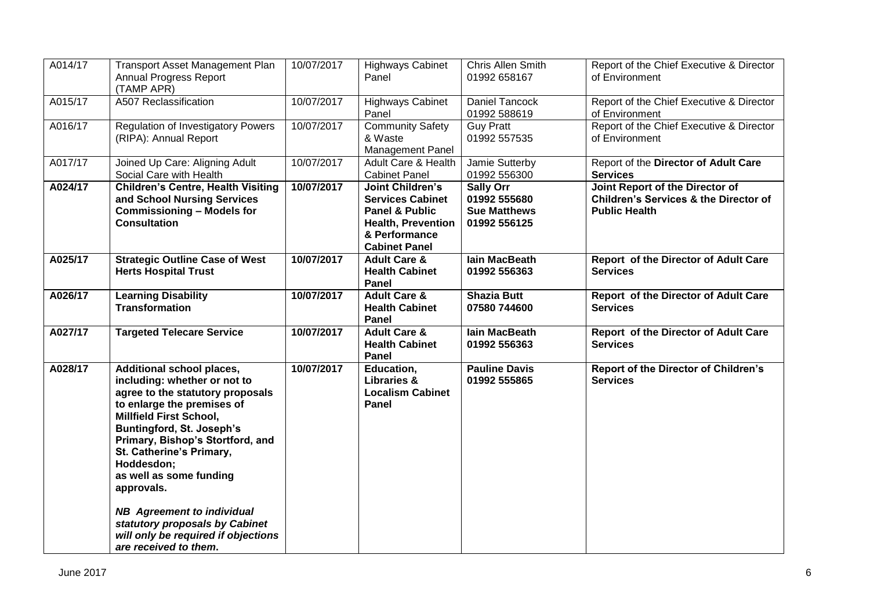| A014/17 | <b>Transport Asset Management Plan</b><br>Annual Progress Report<br>(TAMP APR)                                                                                                                                                                                                                                                                                                                                                                                         | 10/07/2017 | <b>Highways Cabinet</b><br>Panel                                                                                                           | Chris Allen Smith<br>01992 658167                                       | Report of the Chief Executive & Director<br>of Environment                                                  |
|---------|------------------------------------------------------------------------------------------------------------------------------------------------------------------------------------------------------------------------------------------------------------------------------------------------------------------------------------------------------------------------------------------------------------------------------------------------------------------------|------------|--------------------------------------------------------------------------------------------------------------------------------------------|-------------------------------------------------------------------------|-------------------------------------------------------------------------------------------------------------|
| A015/17 | A507 Reclassification                                                                                                                                                                                                                                                                                                                                                                                                                                                  | 10/07/2017 | <b>Highways Cabinet</b><br>Panel                                                                                                           | <b>Daniel Tancock</b><br>01992 588619                                   | Report of the Chief Executive & Director<br>of Environment                                                  |
| A016/17 | <b>Regulation of Investigatory Powers</b><br>(RIPA): Annual Report                                                                                                                                                                                                                                                                                                                                                                                                     | 10/07/2017 | <b>Community Safety</b><br>& Waste<br><b>Management Panel</b>                                                                              | <b>Guy Pratt</b><br>01992 557535                                        | Report of the Chief Executive & Director<br>of Environment                                                  |
| A017/17 | Joined Up Care: Aligning Adult<br>Social Care with Health                                                                                                                                                                                                                                                                                                                                                                                                              | 10/07/2017 | Adult Care & Health<br><b>Cabinet Panel</b>                                                                                                | Jamie Sutterby<br>01992 556300                                          | Report of the Director of Adult Care<br><b>Services</b>                                                     |
| A024/17 | <b>Children's Centre, Health Visiting</b><br>and School Nursing Services<br><b>Commissioning - Models for</b><br><b>Consultation</b>                                                                                                                                                                                                                                                                                                                                   | 10/07/2017 | <b>Joint Children's</b><br><b>Services Cabinet</b><br>Panel & Public<br><b>Health, Prevention</b><br>& Performance<br><b>Cabinet Panel</b> | <b>Sally Orr</b><br>01992 555680<br><b>Sue Matthews</b><br>01992 556125 | Joint Report of the Director of<br><b>Children's Services &amp; the Director of</b><br><b>Public Health</b> |
| A025/17 | <b>Strategic Outline Case of West</b><br><b>Herts Hospital Trust</b>                                                                                                                                                                                                                                                                                                                                                                                                   | 10/07/2017 | <b>Adult Care &amp;</b><br><b>Health Cabinet</b><br>Panel                                                                                  | lain MacBeath<br>01992 556363                                           | Report of the Director of Adult Care<br><b>Services</b>                                                     |
| A026/17 | <b>Learning Disability</b><br><b>Transformation</b>                                                                                                                                                                                                                                                                                                                                                                                                                    | 10/07/2017 | <b>Adult Care &amp;</b><br><b>Health Cabinet</b><br>Panel                                                                                  | <b>Shazia Butt</b><br>07580 744600                                      | Report of the Director of Adult Care<br><b>Services</b>                                                     |
| A027/17 | <b>Targeted Telecare Service</b>                                                                                                                                                                                                                                                                                                                                                                                                                                       | 10/07/2017 | <b>Adult Care &amp;</b><br><b>Health Cabinet</b><br>Panel                                                                                  | lain MacBeath<br>01992 556363                                           | Report of the Director of Adult Care<br><b>Services</b>                                                     |
| A028/17 | <b>Additional school places,</b><br>including: whether or not to<br>agree to the statutory proposals<br>to enlarge the premises of<br><b>Millfield First School,</b><br><b>Buntingford, St. Joseph's</b><br>Primary, Bishop's Stortford, and<br>St. Catherine's Primary,<br>Hoddesdon;<br>as well as some funding<br>approvals.<br><b>NB</b> Agreement to individual<br>statutory proposals by Cabinet<br>will only be required if objections<br>are received to them. | 10/07/2017 | Education,<br><b>Libraries &amp;</b><br><b>Localism Cabinet</b><br>Panel                                                                   | <b>Pauline Davis</b><br>01992 555865                                    | <b>Report of the Director of Children's</b><br><b>Services</b>                                              |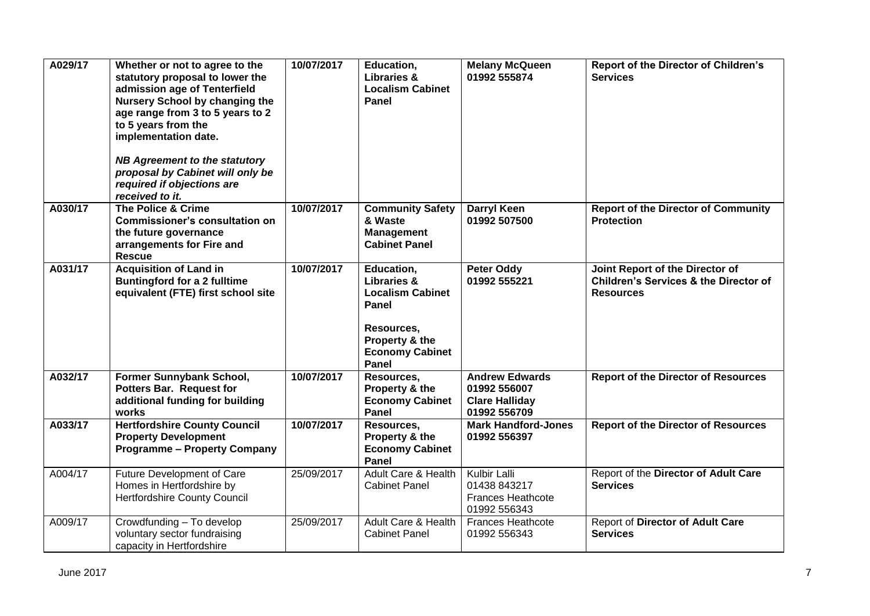| A029/17 | Whether or not to agree to the<br>statutory proposal to lower the<br>admission age of Tenterfield<br>Nursery School by changing the<br>age range from 3 to 5 years to 2<br>to 5 years from the<br>implementation date.<br><b>NB Agreement to the statutory</b><br>proposal by Cabinet will only be<br>required if objections are<br>received to it. | 10/07/2017 | Education,<br><b>Libraries &amp;</b><br><b>Localism Cabinet</b><br>Panel                                                                    | <b>Melany McQueen</b><br>01992 555874                                          | Report of the Director of Children's<br><b>Services</b>                                                 |
|---------|-----------------------------------------------------------------------------------------------------------------------------------------------------------------------------------------------------------------------------------------------------------------------------------------------------------------------------------------------------|------------|---------------------------------------------------------------------------------------------------------------------------------------------|--------------------------------------------------------------------------------|---------------------------------------------------------------------------------------------------------|
| A030/17 | <b>The Police &amp; Crime</b><br><b>Commissioner's consultation on</b><br>the future governance<br>arrangements for Fire and<br><b>Rescue</b>                                                                                                                                                                                                       | 10/07/2017 | <b>Community Safety</b><br>& Waste<br><b>Management</b><br><b>Cabinet Panel</b>                                                             | <b>Darryl Keen</b><br>01992 507500                                             | <b>Report of the Director of Community</b><br><b>Protection</b>                                         |
| A031/17 | <b>Acquisition of Land in</b><br><b>Buntingford for a 2 fulltime</b><br>equivalent (FTE) first school site                                                                                                                                                                                                                                          | 10/07/2017 | Education,<br><b>Libraries &amp;</b><br><b>Localism Cabinet</b><br>Panel<br>Resources,<br>Property & the<br><b>Economy Cabinet</b><br>Panel | <b>Peter Oddy</b><br>01992 555221                                              | Joint Report of the Director of<br><b>Children's Services &amp; the Director of</b><br><b>Resources</b> |
| A032/17 | Former Sunnybank School,<br>Potters Bar. Request for<br>additional funding for building<br>works                                                                                                                                                                                                                                                    | 10/07/2017 | Resources,<br>Property & the<br><b>Economy Cabinet</b><br>Panel                                                                             | <b>Andrew Edwards</b><br>01992 556007<br><b>Clare Halliday</b><br>01992 556709 | <b>Report of the Director of Resources</b>                                                              |
| A033/17 | <b>Hertfordshire County Council</b><br><b>Property Development</b><br><b>Programme - Property Company</b>                                                                                                                                                                                                                                           | 10/07/2017 | Resources,<br>Property & the<br><b>Economy Cabinet</b><br>Panel                                                                             | <b>Mark Handford-Jones</b><br>01992 556397                                     | <b>Report of the Director of Resources</b>                                                              |
| A004/17 | Future Development of Care<br>Homes in Hertfordshire by<br><b>Hertfordshire County Council</b>                                                                                                                                                                                                                                                      | 25/09/2017 | Adult Care & Health<br><b>Cabinet Panel</b>                                                                                                 | Kulbir Lalli<br>01438 843217<br><b>Frances Heathcote</b><br>01992 556343       | Report of the Director of Adult Care<br><b>Services</b>                                                 |
| A009/17 | Crowdfunding - To develop<br>voluntary sector fundraising<br>capacity in Hertfordshire                                                                                                                                                                                                                                                              | 25/09/2017 | Adult Care & Health<br><b>Cabinet Panel</b>                                                                                                 | <b>Frances Heathcote</b><br>01992 556343                                       | Report of Director of Adult Care<br><b>Services</b>                                                     |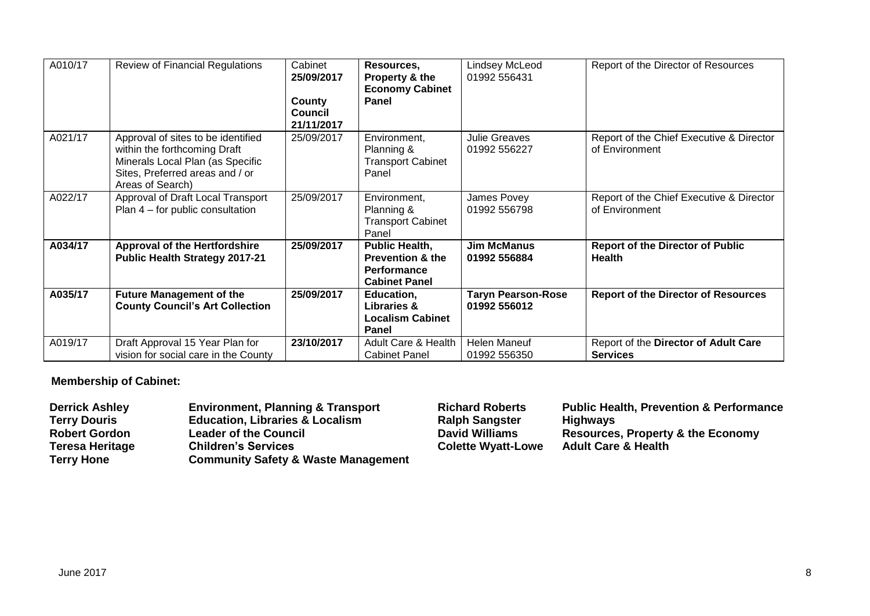| A010/17 | <b>Review of Financial Regulations</b>                                                                                                                        | Cabinet<br>25/09/2017<br>County<br><b>Council</b><br>21/11/2017 | Resources,<br>Property & the<br><b>Economy Cabinet</b><br>Panel                             | Lindsey McLeod<br>01992 556431            | Report of the Director of Resources                        |
|---------|---------------------------------------------------------------------------------------------------------------------------------------------------------------|-----------------------------------------------------------------|---------------------------------------------------------------------------------------------|-------------------------------------------|------------------------------------------------------------|
| A021/17 | Approval of sites to be identified<br>within the forthcoming Draft<br>Minerals Local Plan (as Specific<br>Sites, Preferred areas and / or<br>Areas of Search) | 25/09/2017                                                      | Environment,<br>Planning &<br><b>Transport Cabinet</b><br>Panel                             | <b>Julie Greaves</b><br>01992 556227      | Report of the Chief Executive & Director<br>of Environment |
| A022/17 | Approval of Draft Local Transport<br>Plan 4 – for public consultation                                                                                         | 25/09/2017                                                      | Environment,<br>Planning &<br><b>Transport Cabinet</b><br>Panel                             | James Povey<br>01992 556798               | Report of the Chief Executive & Director<br>of Environment |
| A034/17 | <b>Approval of the Hertfordshire</b><br><b>Public Health Strategy 2017-21</b>                                                                                 | 25/09/2017                                                      | Public Health,<br><b>Prevention &amp; the</b><br><b>Performance</b><br><b>Cabinet Panel</b> | <b>Jim McManus</b><br>01992 556884        | <b>Report of the Director of Public</b><br><b>Health</b>   |
| A035/17 | <b>Future Management of the</b><br><b>County Council's Art Collection</b>                                                                                     | 25/09/2017                                                      | Education,<br><b>Libraries &amp;</b><br><b>Localism Cabinet</b><br>Panel                    | <b>Taryn Pearson-Rose</b><br>01992 556012 | <b>Report of the Director of Resources</b>                 |
| A019/17 | Draft Approval 15 Year Plan for<br>vision for social care in the County                                                                                       | 23/10/2017                                                      | <b>Adult Care &amp; Health</b><br><b>Cabinet Panel</b>                                      | <b>Helen Maneuf</b><br>01992 556350       | Report of the Director of Adult Care<br><b>Services</b>    |

## **Membership of Cabinet:**

| <b>Derrick Ashley</b>  | <b>Environment, Planning &amp; Transport</b>   | <b>Richard Roberts</b>    | <b>Public Health, Prevention &amp; Performance</b> |
|------------------------|------------------------------------------------|---------------------------|----------------------------------------------------|
| <b>Terry Douris</b>    | <b>Education, Libraries &amp; Localism</b>     | <b>Ralph Sangster</b>     | <b>Highways</b>                                    |
| <b>Robert Gordon</b>   | <b>Leader of the Council</b>                   | <b>David Williams</b>     | <b>Resources, Property &amp; the Economy</b>       |
| <b>Teresa Heritage</b> | <b>Children's Services</b>                     | <b>Colette Wyatt-Lowe</b> | <b>Adult Care &amp; Health</b>                     |
| <b>Terry Hone</b>      | <b>Community Safety &amp; Waste Management</b> |                           |                                                    |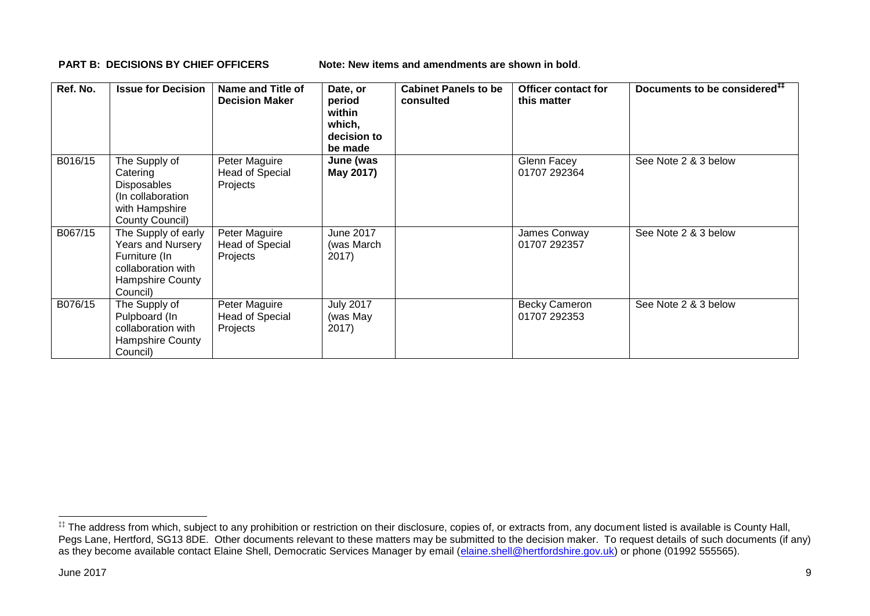**PART B: DECISIONS BY CHIEF OFFICERS Note: New items and amendments are shown in bold.** 

| Ref. No. | <b>Issue for Decision</b>                                                                                                     | Name and Title of<br><b>Decision Maker</b>          | Date, or<br>period<br>within<br>which,<br>decision to<br>be made | <b>Cabinet Panels to be</b><br>consulted | <b>Officer contact for</b><br>this matter | Documents to be considered <sup>##</sup> |
|----------|-------------------------------------------------------------------------------------------------------------------------------|-----------------------------------------------------|------------------------------------------------------------------|------------------------------------------|-------------------------------------------|------------------------------------------|
| B016/15  | The Supply of<br>Catering<br><b>Disposables</b><br>(In collaboration<br>with Hampshire<br>County Council)                     | Peter Maguire<br><b>Head of Special</b><br>Projects | June (was<br>May 2017)                                           |                                          | Glenn Facey<br>01707 292364               | See Note 2 & 3 below                     |
| B067/15  | The Supply of early<br><b>Years and Nursery</b><br>Furniture (In<br>collaboration with<br><b>Hampshire County</b><br>Council) | Peter Maguire<br><b>Head of Special</b><br>Projects | June 2017<br>(was March<br>2017)                                 |                                          | James Conway<br>01707 292357              | See Note 2 & 3 below                     |
| B076/15  | The Supply of<br>Pulpboard (In<br>collaboration with<br>Hampshire County<br>Council)                                          | Peter Maguire<br>Head of Special<br>Projects        | <b>July 2017</b><br>(was May<br>2017)                            |                                          | <b>Becky Cameron</b><br>01707 292353      | See Note 2 & 3 below                     |

1

<sup>‡‡</sup> The address from which, subject to any prohibition or restriction on their disclosure, copies of, or extracts from, any document listed is available is County Hall, Pegs Lane, Hertford, SG13 8DE. Other documents relevant to these matters may be submitted to the decision maker. To request details of such documents (if any) as they become available contact Elaine Shell, Democratic Services Manager by email [\(elaine.shell@hertfordshire.gov.uk\)](mailto:elaine.shell@hertfordshire.gov.uk) or phone (01992 555565).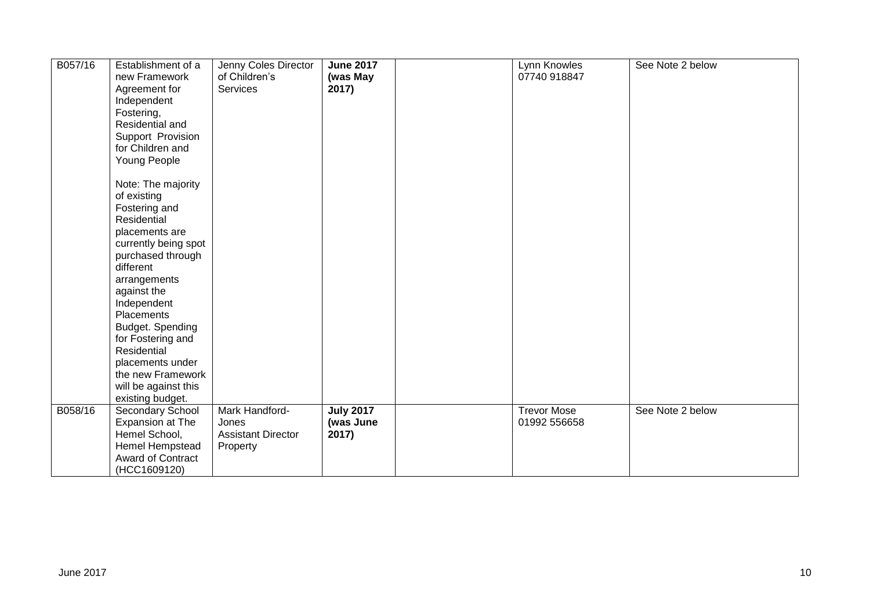| B057/16 | Establishment of a<br>new Framework<br>Agreement for<br>Independent<br>Fostering,<br>Residential and<br>Support Provision<br>for Children and<br>Young People<br>Note: The majority<br>of existing<br>Fostering and<br>Residential<br>placements are<br>currently being spot<br>purchased through<br>different<br>arrangements<br>against the<br>Independent<br>Placements<br>Budget. Spending<br>for Fostering and<br>Residential<br>placements under<br>the new Framework<br>will be against this<br>existing budget. | Jenny Coles Director<br>of Children's<br>Services                | <b>June 2017</b><br>(was May<br>2017)  | Lynn Knowles<br>07740 918847       | See Note 2 below |
|---------|-------------------------------------------------------------------------------------------------------------------------------------------------------------------------------------------------------------------------------------------------------------------------------------------------------------------------------------------------------------------------------------------------------------------------------------------------------------------------------------------------------------------------|------------------------------------------------------------------|----------------------------------------|------------------------------------|------------------|
| B058/16 | Secondary School<br>Expansion at The<br>Hemel School,<br>Hemel Hempstead<br>Award of Contract<br>(HCC1609120)                                                                                                                                                                                                                                                                                                                                                                                                           | Mark Handford-<br>Jones<br><b>Assistant Director</b><br>Property | <b>July 2017</b><br>(was June<br>2017) | <b>Trevor Mose</b><br>01992 556658 | See Note 2 below |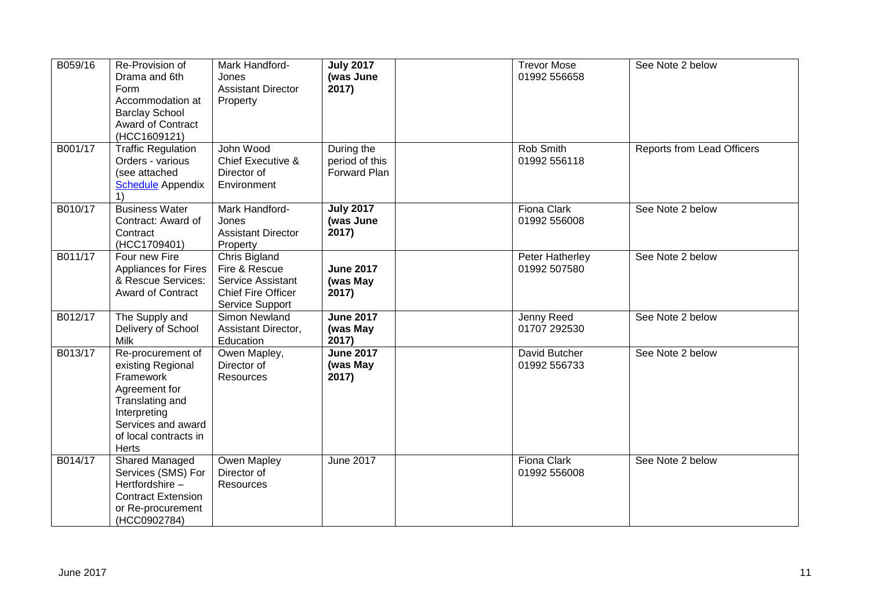| B059/16 | Re-Provision of<br>Drama and 6th<br>Form<br>Accommodation at<br><b>Barclay School</b><br>Award of Contract<br>(HCC1609121)                                             | Mark Handford-<br>Jones<br><b>Assistant Director</b><br>Property                                    | <b>July 2017</b><br>(was June<br>2017)       | <b>Trevor Mose</b><br>01992 556658 | See Note 2 below                  |
|---------|------------------------------------------------------------------------------------------------------------------------------------------------------------------------|-----------------------------------------------------------------------------------------------------|----------------------------------------------|------------------------------------|-----------------------------------|
| B001/17 | <b>Traffic Regulation</b><br>Orders - various<br>(see attached<br><b>Schedule</b> Appendix<br>1)                                                                       | John Wood<br>Chief Executive &<br>Director of<br>Environment                                        | During the<br>period of this<br>Forward Plan | Rob Smith<br>01992 556118          | <b>Reports from Lead Officers</b> |
| B010/17 | <b>Business Water</b><br>Contract: Award of<br>Contract<br>(HCC1709401)                                                                                                | Mark Handford-<br>Jones<br><b>Assistant Director</b><br>Property                                    | <b>July 2017</b><br>(was June<br>2017)       | <b>Fiona Clark</b><br>01992 556008 | See Note 2 below                  |
| B011/17 | Four new Fire<br><b>Appliances for Fires</b><br>& Rescue Services:<br><b>Award of Contract</b>                                                                         | Chris Bigland<br>Fire & Rescue<br>Service Assistant<br><b>Chief Fire Officer</b><br>Service Support | <b>June 2017</b><br>(was May<br>2017)        | Peter Hatherley<br>01992 507580    | See Note 2 below                  |
| B012/17 | The Supply and<br>Delivery of School<br><b>Milk</b>                                                                                                                    | Simon Newland<br>Assistant Director,<br>Education                                                   | <b>June 2017</b><br>(was May<br>2017)        | Jenny Reed<br>01707 292530         | See Note 2 below                  |
| B013/17 | Re-procurement of<br>existing Regional<br>Framework<br>Agreement for<br>Translating and<br>Interpreting<br>Services and award<br>of local contracts in<br><b>Herts</b> | Owen Mapley,<br>Director of<br>Resources                                                            | <b>June 2017</b><br>(was May<br>2017)        | David Butcher<br>01992 556733      | See Note 2 below                  |
| B014/17 | Shared Managed<br>Services (SMS) For<br>Hertfordshire-<br><b>Contract Extension</b><br>or Re-procurement<br>(HCC0902784)                                               | Owen Mapley<br>Director of<br>Resources                                                             | <b>June 2017</b>                             | <b>Fiona Clark</b><br>01992 556008 | See Note 2 below                  |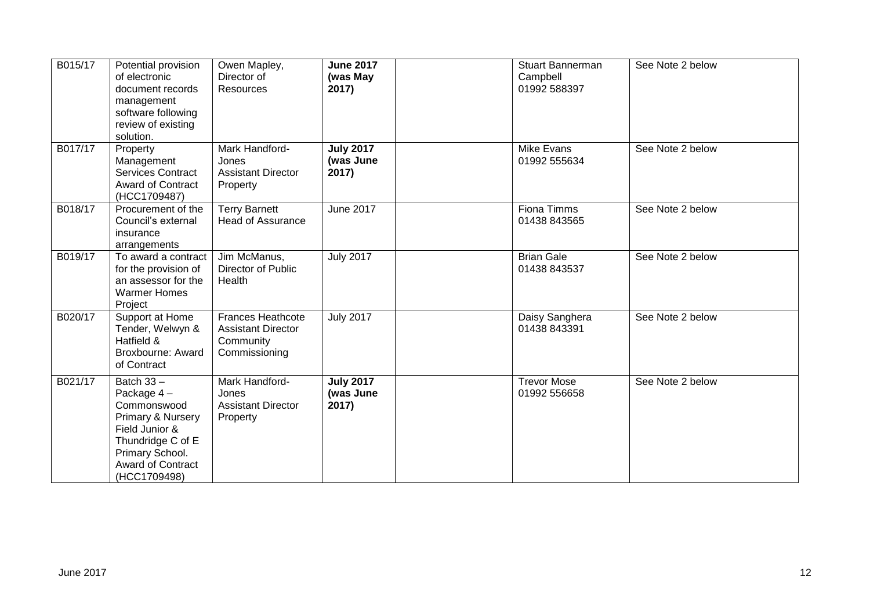| B015/17 | Potential provision<br>of electronic<br>document records<br>management<br>software following<br>review of existing<br>solution.                               | Owen Mapley,<br>Director of<br>Resources                                            | <b>June 2017</b><br>(was May<br>2017)  | <b>Stuart Bannerman</b><br>Campbell<br>01992 588397 | See Note 2 below |
|---------|---------------------------------------------------------------------------------------------------------------------------------------------------------------|-------------------------------------------------------------------------------------|----------------------------------------|-----------------------------------------------------|------------------|
| B017/17 | Property<br>Management<br><b>Services Contract</b><br><b>Award of Contract</b><br>(HCC1709487)                                                                | Mark Handford-<br>Jones<br><b>Assistant Director</b><br>Property                    | <b>July 2017</b><br>(was June<br>2017) | Mike Evans<br>01992 555634                          | See Note 2 below |
| B018/17 | Procurement of the<br>Council's external<br>insurance<br>arrangements                                                                                         | <b>Terry Barnett</b><br><b>Head of Assurance</b>                                    | <b>June 2017</b>                       | Fiona Timms<br>01438 843565                         | See Note 2 below |
| B019/17 | To award a contract<br>for the provision of<br>an assessor for the<br><b>Warmer Homes</b><br>Project                                                          | Jim McManus,<br>Director of Public<br>Health                                        | <b>July 2017</b>                       | <b>Brian Gale</b><br>01438 843537                   | See Note 2 below |
| B020/17 | Support at Home<br>Tender, Welwyn &<br>Hatfield &<br>Broxbourne: Award<br>of Contract                                                                         | <b>Frances Heathcote</b><br><b>Assistant Director</b><br>Community<br>Commissioning | <b>July 2017</b>                       | Daisy Sanghera<br>01438 843391                      | See Note 2 below |
| B021/17 | Batch $33 -$<br>Package 4-<br>Commonswood<br>Primary & Nursery<br>Field Junior &<br>Thundridge C of E<br>Primary School.<br>Award of Contract<br>(HCC1709498) | Mark Handford-<br>Jones<br><b>Assistant Director</b><br>Property                    | <b>July 2017</b><br>(was June<br>2017) | <b>Trevor Mose</b><br>01992 556658                  | See Note 2 below |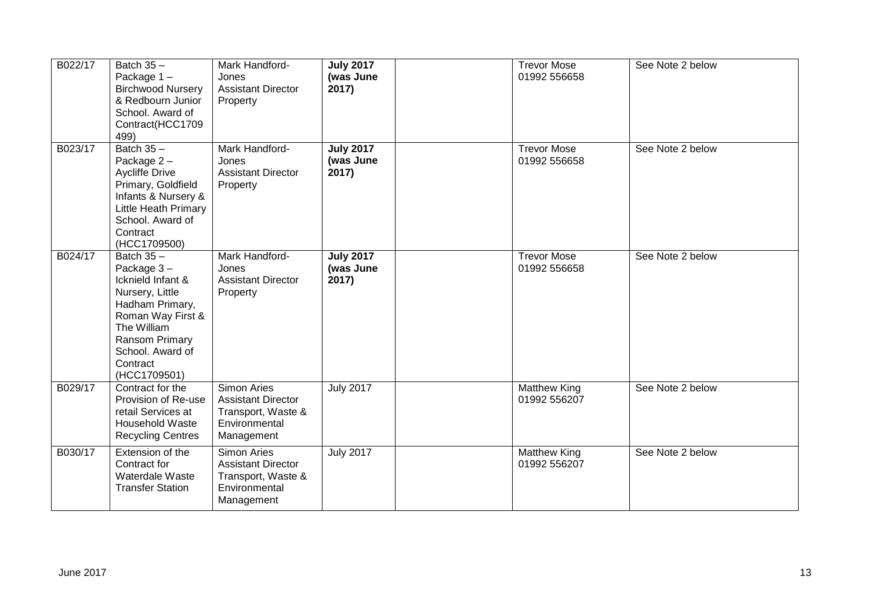| B022/17 | Batch $35 -$<br>Package 1-<br><b>Birchwood Nursery</b><br>& Redbourn Junior<br>School. Award of<br>Contract(HCC1709<br>499)                                                                 | Mark Handford-<br>Jones<br><b>Assistant Director</b><br>Property                                     | <b>July 2017</b><br>(was June<br>2017) | <b>Trevor Mose</b><br>01992 556658  | See Note 2 below |
|---------|---------------------------------------------------------------------------------------------------------------------------------------------------------------------------------------------|------------------------------------------------------------------------------------------------------|----------------------------------------|-------------------------------------|------------------|
| B023/17 | Batch $35 -$<br>Package 2-<br><b>Aycliffe Drive</b><br>Primary, Goldfield<br>Infants & Nursery &<br>Little Heath Primary<br>School. Award of<br>Contract<br>(HCC1709500)                    | Mark Handford-<br>Jones<br><b>Assistant Director</b><br>Property                                     | <b>July 2017</b><br>(was June<br>2017) | <b>Trevor Mose</b><br>01992 556658  | See Note 2 below |
| B024/17 | Batch $35 -$<br>Package 3-<br>Icknield Infant &<br>Nursery, Little<br>Hadham Primary,<br>Roman Way First &<br>The William<br>Ransom Primary<br>School. Award of<br>Contract<br>(HCC1709501) | Mark Handford-<br>Jones<br><b>Assistant Director</b><br>Property                                     | <b>July 2017</b><br>(was June<br>2017) | <b>Trevor Mose</b><br>01992 556658  | See Note 2 below |
| B029/17 | Contract for the<br>Provision of Re-use<br>retail Services at<br>Household Waste<br><b>Recycling Centres</b>                                                                                | Simon Aries<br><b>Assistant Director</b><br>Transport, Waste &<br>Environmental<br>Management        | <b>July 2017</b>                       | <b>Matthew King</b><br>01992 556207 | See Note 2 below |
| B030/17 | Extension of the<br>Contract for<br>Waterdale Waste<br><b>Transfer Station</b>                                                                                                              | <b>Simon Aries</b><br><b>Assistant Director</b><br>Transport, Waste &<br>Environmental<br>Management | <b>July 2017</b>                       | <b>Matthew King</b><br>01992 556207 | See Note 2 below |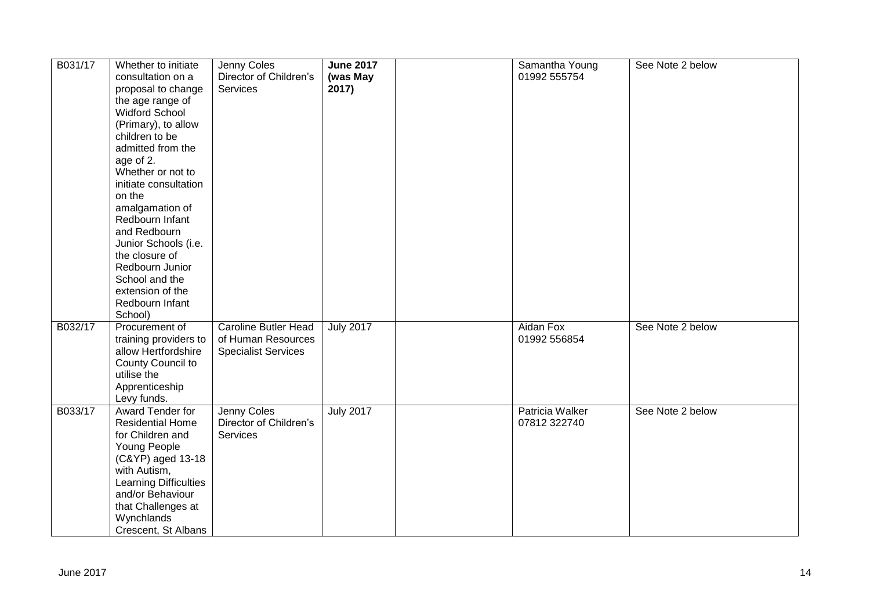| B031/17 | Whether to initiate<br>consultation on a<br>proposal to change<br>the age range of<br><b>Widford School</b><br>(Primary), to allow<br>children to be<br>admitted from the<br>age of 2.<br>Whether or not to<br>initiate consultation<br>on the<br>amalgamation of<br>Redbourn Infant<br>and Redbourn<br>Junior Schools (i.e.<br>the closure of<br>Redbourn Junior<br>School and the<br>extension of the<br>Redbourn Infant<br>School) | Jenny Coles<br>Director of Children's<br>Services                               | <b>June 2017</b><br>(was May<br>2017) | Samantha Young<br>01992 555754  | See Note 2 below |
|---------|---------------------------------------------------------------------------------------------------------------------------------------------------------------------------------------------------------------------------------------------------------------------------------------------------------------------------------------------------------------------------------------------------------------------------------------|---------------------------------------------------------------------------------|---------------------------------------|---------------------------------|------------------|
| B032/17 | Procurement of<br>training providers to<br>allow Hertfordshire<br>County Council to<br>utilise the<br>Apprenticeship<br>Levy funds.                                                                                                                                                                                                                                                                                                   | <b>Caroline Butler Head</b><br>of Human Resources<br><b>Specialist Services</b> | <b>July 2017</b>                      | Aidan Fox<br>01992 556854       | See Note 2 below |
| B033/17 | Award Tender for<br><b>Residential Home</b><br>for Children and<br>Young People<br>(C&YP) aged 13-18<br>with Autism,<br>Learning Difficulties<br>and/or Behaviour<br>that Challenges at<br>Wynchlands<br>Crescent, St Albans                                                                                                                                                                                                          | Jenny Coles<br>Director of Children's<br>Services                               | <b>July 2017</b>                      | Patricia Walker<br>07812 322740 | See Note 2 below |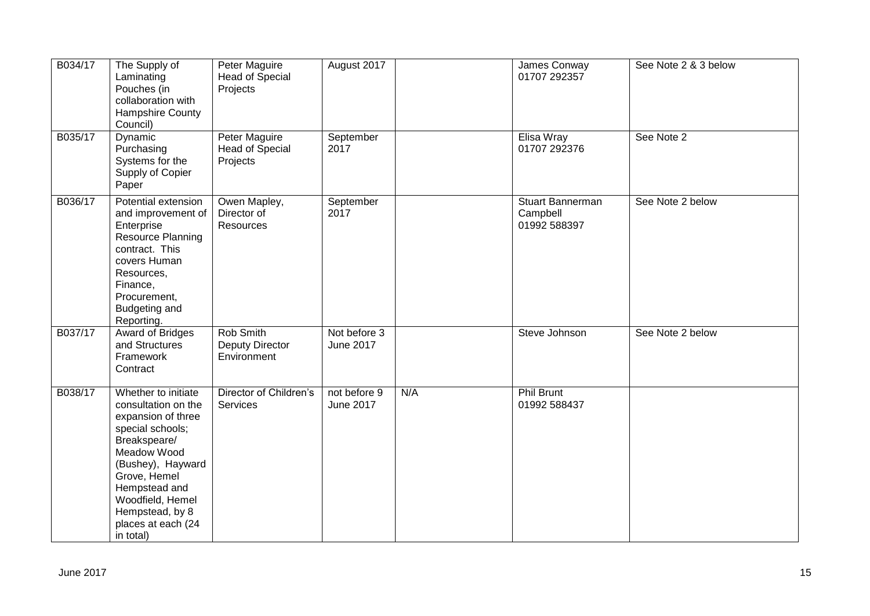| B034/17 | The Supply of<br>Laminating<br>Pouches (in<br>collaboration with<br>Hampshire County<br>Council)                                                                                                                                                    | Peter Maguire<br><b>Head of Special</b><br>Projects | August 2017               |     | James Conway<br>01707 292357                 | See Note 2 & 3 below |
|---------|-----------------------------------------------------------------------------------------------------------------------------------------------------------------------------------------------------------------------------------------------------|-----------------------------------------------------|---------------------------|-----|----------------------------------------------|----------------------|
| B035/17 | Dynamic<br>Purchasing<br>Systems for the<br>Supply of Copier<br>Paper                                                                                                                                                                               | Peter Maguire<br>Head of Special<br>Projects        | September<br>2017         |     | Elisa Wray<br>01707 292376                   | See Note 2           |
| B036/17 | Potential extension<br>and improvement of<br>Enterprise<br>Resource Planning<br>contract. This<br>covers Human<br>Resources,<br>Finance,<br>Procurement,<br>Budgeting and<br>Reporting.                                                             | Owen Mapley,<br>Director of<br>Resources            | September<br>2017         |     | Stuart Bannerman<br>Campbell<br>01992 588397 | See Note 2 below     |
| B037/17 | <b>Award of Bridges</b><br>and Structures<br>Framework<br>Contract                                                                                                                                                                                  | Rob Smith<br><b>Deputy Director</b><br>Environment  | Not before 3<br>June 2017 |     | Steve Johnson                                | See Note 2 below     |
| B038/17 | Whether to initiate<br>consultation on the<br>expansion of three<br>special schools;<br>Breakspeare/<br>Meadow Wood<br>(Bushey), Hayward<br>Grove, Hemel<br>Hempstead and<br>Woodfield, Hemel<br>Hempstead, by 8<br>places at each (24<br>in total) | Director of Children's<br>Services                  | not before 9<br>June 2017 | N/A | Phil Brunt<br>01992 588437                   |                      |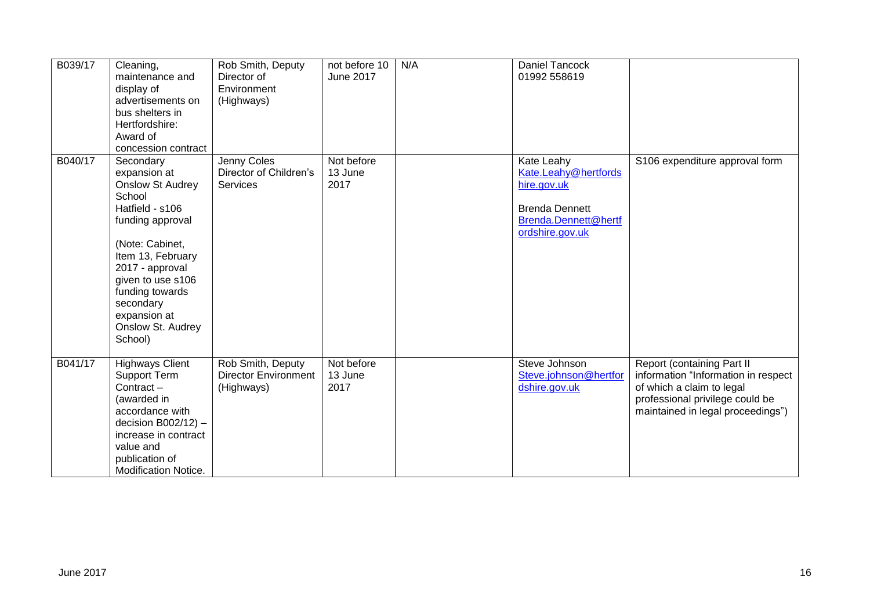| B039/17 | Cleaning,<br>maintenance and<br>display of<br>advertisements on<br>bus shelters in<br>Hertfordshire:<br>Award of<br>concession contract                                                                                                                               | Rob Smith, Deputy<br>Director of<br>Environment<br>(Highways)  | not before 10<br><b>June 2017</b> | N/A | <b>Daniel Tancock</b><br>01992 558619                                                                                 |                                                                                                                                                                        |
|---------|-----------------------------------------------------------------------------------------------------------------------------------------------------------------------------------------------------------------------------------------------------------------------|----------------------------------------------------------------|-----------------------------------|-----|-----------------------------------------------------------------------------------------------------------------------|------------------------------------------------------------------------------------------------------------------------------------------------------------------------|
| B040/17 | Secondary<br>expansion at<br><b>Onslow St Audrey</b><br>School<br>Hatfield - s106<br>funding approval<br>(Note: Cabinet,<br>Item 13, February<br>2017 - approval<br>given to use s106<br>funding towards<br>secondary<br>expansion at<br>Onslow St. Audrey<br>School) | Jenny Coles<br>Director of Children's<br>Services              | Not before<br>13 June<br>2017     |     | Kate Leahy<br>Kate.Leahy@hertfords<br>hire.gov.uk<br><b>Brenda Dennett</b><br>Brenda.Dennett@hertf<br>ordshire.gov.uk | S106 expenditure approval form                                                                                                                                         |
| B041/17 | <b>Highways Client</b><br>Support Term<br>Contract-<br>(awarded in<br>accordance with<br>decision $B002/12$ ) -<br>increase in contract<br>value and<br>publication of<br>Modification Notice.                                                                        | Rob Smith, Deputy<br><b>Director Environment</b><br>(Highways) | Not before<br>13 June<br>2017     |     | Steve Johnson<br>Steve.johnson@hertfor<br>dshire.gov.uk                                                               | Report (containing Part II<br>information "Information in respect<br>of which a claim to legal<br>professional privilege could be<br>maintained in legal proceedings") |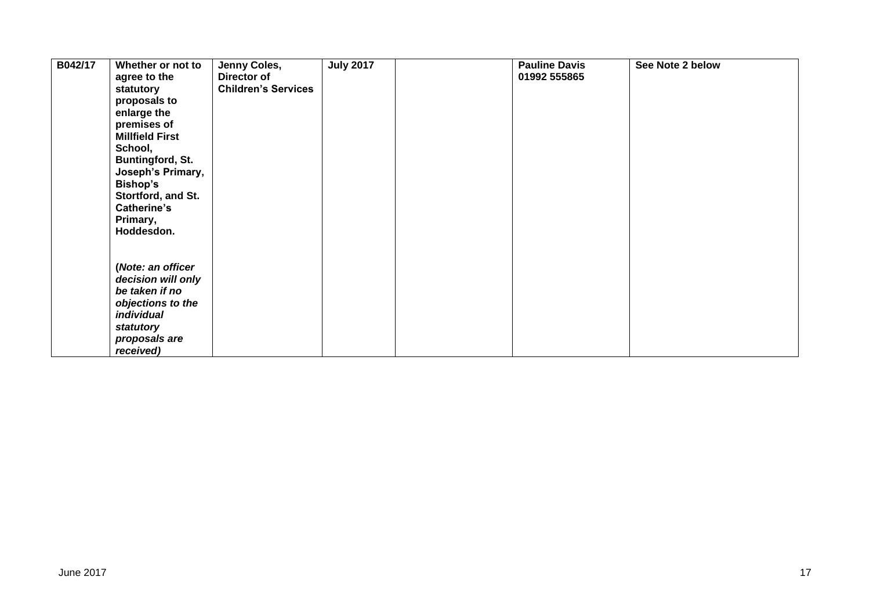| B042/17 | Whether or not to<br>agree to the<br>statutory<br>proposals to<br>enlarge the<br>premises of<br><b>Millfield First</b><br>School,<br><b>Buntingford, St.</b><br>Joseph's Primary,<br>Bishop's<br>Stortford, and St.<br>Catherine's<br>Primary,<br>Hoddesdon. | Jenny Coles,<br>Director of<br><b>Children's Services</b> | <b>July 2017</b> | <b>Pauline Davis</b><br>01992 555865 | See Note 2 below |
|---------|--------------------------------------------------------------------------------------------------------------------------------------------------------------------------------------------------------------------------------------------------------------|-----------------------------------------------------------|------------------|--------------------------------------|------------------|
|         | (Note: an officer<br>decision will only<br>be taken if no<br>objections to the<br>individual<br>statutory<br>proposals are<br>received)                                                                                                                      |                                                           |                  |                                      |                  |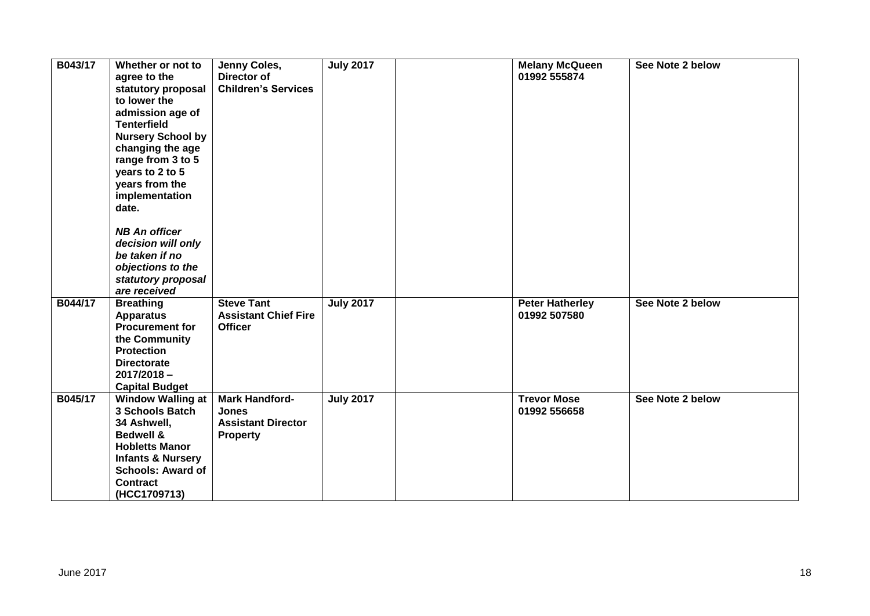| B043/17 | Whether or not to<br>agree to the<br>statutory proposal<br>to lower the<br>admission age of<br><b>Tenterfield</b><br><b>Nursery School by</b><br>changing the age<br>range from 3 to 5<br>years to 2 to 5<br>years from the<br>implementation<br>date.<br><b>NB An officer</b><br>decision will only<br>be taken if no<br>objections to the<br>statutory proposal<br>are received | Jenny Coles,<br>Director of<br><b>Children's Services</b>                             | <b>July 2017</b> | <b>Melany McQueen</b><br>01992 555874  | See Note 2 below |
|---------|-----------------------------------------------------------------------------------------------------------------------------------------------------------------------------------------------------------------------------------------------------------------------------------------------------------------------------------------------------------------------------------|---------------------------------------------------------------------------------------|------------------|----------------------------------------|------------------|
| B044/17 | <b>Breathing</b><br><b>Apparatus</b><br><b>Procurement for</b><br>the Community<br><b>Protection</b><br><b>Directorate</b><br>$2017/2018 -$<br><b>Capital Budget</b>                                                                                                                                                                                                              | <b>Steve Tant</b><br><b>Assistant Chief Fire</b><br><b>Officer</b>                    | <b>July 2017</b> | <b>Peter Hatherley</b><br>01992 507580 | See Note 2 below |
| B045/17 | <b>Window Walling at</b><br><b>3 Schools Batch</b><br>34 Ashwell,<br><b>Bedwell &amp;</b><br><b>Hobletts Manor</b><br><b>Infants &amp; Nursery</b><br><b>Schools: Award of</b><br><b>Contract</b><br>(HCC1709713)                                                                                                                                                                 | <b>Mark Handford-</b><br><b>Jones</b><br><b>Assistant Director</b><br><b>Property</b> | <b>July 2017</b> | <b>Trevor Mose</b><br>01992 556658     | See Note 2 below |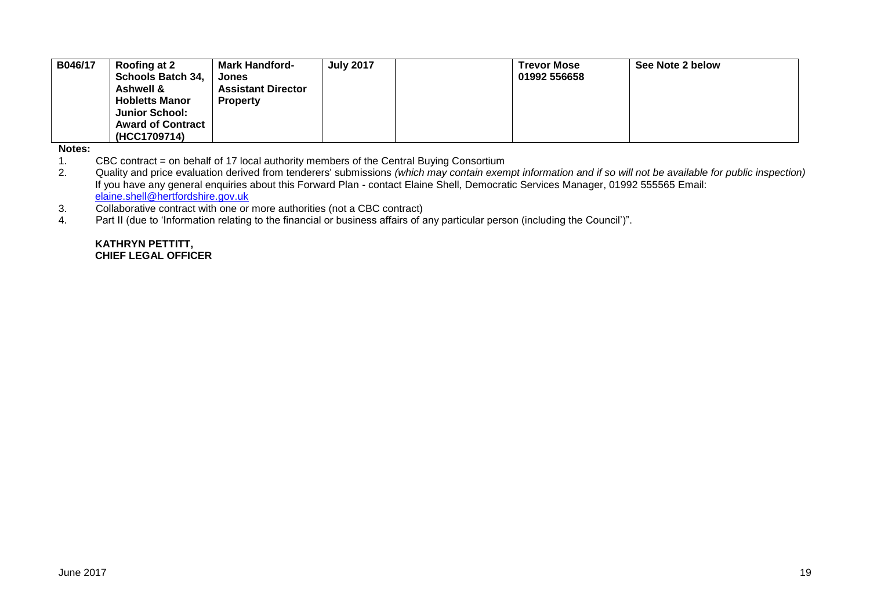| B046/17 | Roofing at 2<br><b>Schools Batch 34,</b><br><b>Ashwell &amp;</b><br><b>Hobletts Manor</b><br><b>Junior School:</b><br><b>Award of Contract</b><br>(HCC1709714) | <b>Mark Handford-</b><br><b>Jones</b><br><b>Assistant Director</b><br><b>Property</b> | <b>July 2017</b> |  | <b>Trevor Mose</b><br>01992 556658 | See Note 2 below |
|---------|----------------------------------------------------------------------------------------------------------------------------------------------------------------|---------------------------------------------------------------------------------------|------------------|--|------------------------------------|------------------|
|---------|----------------------------------------------------------------------------------------------------------------------------------------------------------------|---------------------------------------------------------------------------------------|------------------|--|------------------------------------|------------------|

**Notes:** 

1. CBC contract = on behalf of 17 local authority members of the Central Buying Consortium<br>2. Quality and price evaluation derived from tenderers' submissions (which may contain exen

2. Quality and price evaluation derived from tenderers' submissions *(which may contain exempt information and if so will not be available for public inspection)* If you have any general enquiries about this Forward Plan - contact Elaine Shell, Democratic Services Manager, 01992 555565 Email: [elaine.shell@hertfordshire.gov.uk](mailto:elaine.shell@hertfordshire.gov.uk) 

3. Collaborative contract with one or more authorities (not a CBC contract)

4. Part II (due to 'Information relating to the financial or business affairs of any particular person (including the Council')".

**KATHRYN PETTITT, CHIEF LEGAL OFFICER**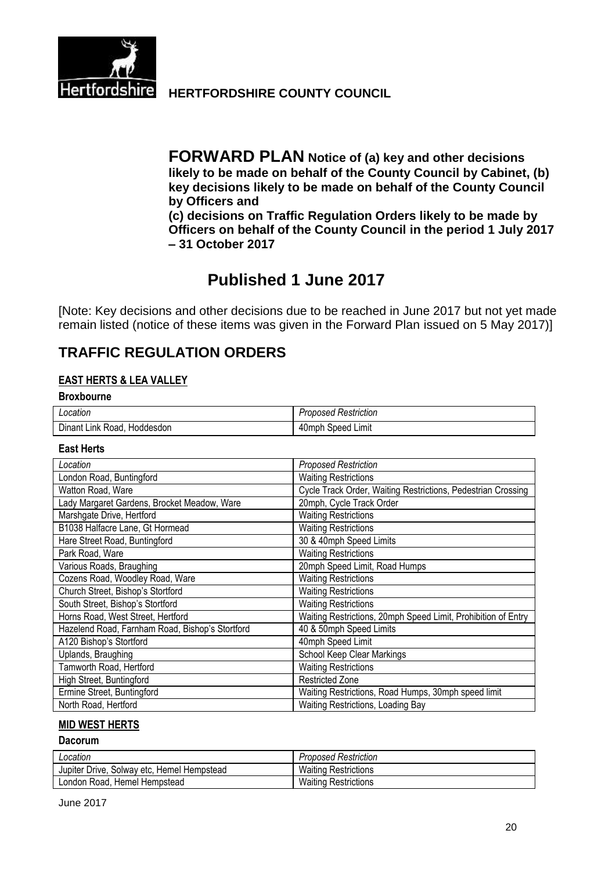

**Hertfordshire HERTFORDSHIRE COUNTY COUNCIL** 

**FORWARD PLAN Notice of (a) key and other decisions likely to be made on behalf of the County Council by Cabinet, (b) key decisions likely to be made on behalf of the County Council by Officers and (c) decisions on Traffic Regulation Orders likely to be made by Officers on behalf of the County Council in the period 1 July 2017**

**– 31 October 2017**

# **Published 1 June 2017**

[Note: Key decisions and other decisions due to be reached in June 2017 but not yet made remain listed (notice of these items was given in the Forward Plan issued on 5 May 2017)]

# **TRAFFIC REGULATION ORDERS**

### **EAST HERTS & LEA VALLEY**

#### **Broxbourne**

| Location                             | roposed Restriction     |
|--------------------------------------|-------------------------|
| Dınant<br>Link<br>Hoddesdon<br>Road, | Limit<br>40mph<br>Speed |

#### **East Herts**

| Location                                        | <b>Proposed Restriction</b>                                   |
|-------------------------------------------------|---------------------------------------------------------------|
| London Road, Buntingford                        | <b>Waiting Restrictions</b>                                   |
| Watton Road, Ware                               | Cycle Track Order, Waiting Restrictions, Pedestrian Crossing  |
| Lady Margaret Gardens, Brocket Meadow, Ware     | 20mph, Cycle Track Order                                      |
| Marshgate Drive, Hertford                       | <b>Waiting Restrictions</b>                                   |
| B1038 Halfacre Lane, Gt Hormead                 | <b>Waiting Restrictions</b>                                   |
| Hare Street Road, Buntingford                   | 30 & 40mph Speed Limits                                       |
| Park Road, Ware                                 | <b>Waiting Restrictions</b>                                   |
| Various Roads, Braughing                        | 20mph Speed Limit, Road Humps                                 |
| Cozens Road, Woodley Road, Ware                 | <b>Waiting Restrictions</b>                                   |
| Church Street, Bishop's Stortford               | <b>Waiting Restrictions</b>                                   |
| South Street, Bishop's Stortford                | <b>Waiting Restrictions</b>                                   |
| Horns Road, West Street, Hertford               | Waiting Restrictions, 20mph Speed Limit, Prohibition of Entry |
| Hazelend Road, Farnham Road, Bishop's Stortford | 40 & 50mph Speed Limits                                       |
| A120 Bishop's Stortford                         | 40mph Speed Limit                                             |
| Uplands, Braughing                              | School Keep Clear Markings                                    |
| Tamworth Road, Hertford                         | <b>Waiting Restrictions</b>                                   |
| High Street, Buntingford                        | <b>Restricted Zone</b>                                        |
| Ermine Street, Buntingford                      | Waiting Restrictions, Road Humps, 30mph speed limit           |
| North Road, Hertford                            | Waiting Restrictions, Loading Bay                             |

#### **MID WEST HERTS**

#### **Dacorum**

| Location                                   | <b>Proposed Restriction</b> |
|--------------------------------------------|-----------------------------|
| Jupiter Drive, Solway etc, Hemel Hempstead | <b>Waiting Restrictions</b> |
| London Road, Hemel Hempstead               | <b>Waiting Restrictions</b> |